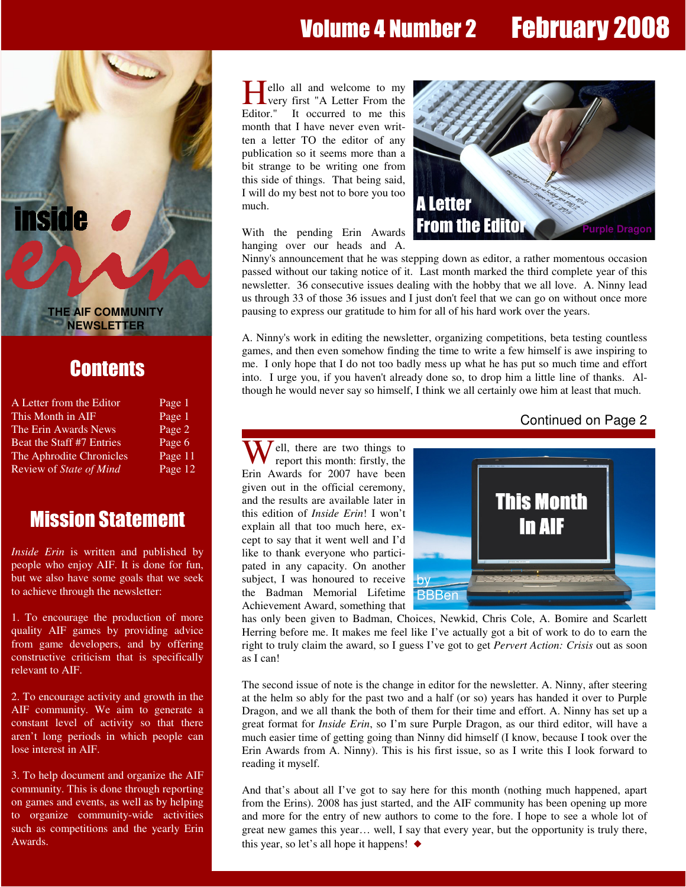# Volume 4 Number 2 February 2008

Editor." ello all and welcome to my very first "A Letter From the It occurred to me this month that I have never even written a letter TO the editor of any publication so it seems more than a bit strange to be writing one from this side of things. That being said, I will do my best not to bore you too much.

With the pending Erin Awards hanging over our heads and A.



Ninny's announcement that he was stepping down as editor, a rather momentous occasion passed without our taking notice of it. Last month marked the third complete year of this newsletter. 36 consecutive issues dealing with the hobby that we all love. A. Ninny lead us through 33 of those 36 issues and I just don't feel that we can go on without once more pausing to express our gratitude to him for all of his hard work over the years.

A. Ninny's work in editing the newsletter, organizing competitions, beta testing countless games, and then even somehow finding the time to write a few himself is awe inspiring to me. I only hope that I do not too badly mess up what he has put so much time and effort into. I urge you, if you haven't already done so, to drop him a little line of thanks. Although he would never say so himself, I think we all certainly owe him at least that much.

# Continued on Page 2

 $\int$  ell, there are two things to report this month: firstly, the Erin Awards for 2007 have been given out in the official ceremony, and the results are available later in this edition of *Inside Erin*! I won't explain all that too much here, except to say that it went well and I'd like to thank everyone who participated in any capacity. On another subject, I was honoured to receive the Badman Memorial Lifetime Achievement Award, something that



has only been given to Badman, Choices, Newkid, Chris Cole, A. Bomire and Scarlett Herring before me. It makes me feel like I've actually got a bit of work to do to earn the right to truly claim the award, so I guess I've got to get *Pervert Action: Crisis* out as soon as I can!

The second issue of note is the change in editor for the newsletter. A. Ninny, after steering at the helm so ably for the past two and a half (or so) years has handed it over to Purple Dragon, and we all thank the both of them for their time and effort. A. Ninny has set up a great format for *Inside Erin*, so I'm sure Purple Dragon, as our third editor, will have a much easier time of getting going than Ninny did himself (I know, because I took over the Erin Awards from A. Ninny). This is his first issue, so as I write this I look forward to reading it myself.

And that's about all I've got to say here for this month (nothing much happened, apart from the Erins). 2008 has just started, and the AIF community has been opening up more and more for the entry of new authors to come to the fore. I hope to see a whole lot of great new games this year… well, I say that every year, but the opportunity is truly there, this year, so let's all hope it happens!  $\blacklozenge$ 

**THE AIF COMMUNITY NEWSLETTER**

**nside** 

# **Contents**

| A Letter from the Editor  | Page 1  |
|---------------------------|---------|
| This Month in AIF         | Page 1  |
| The Erin Awards News      | Page 2  |
| Beat the Staff #7 Entries | Page 6  |
| The Aphrodite Chronicles  | Page 11 |
| Review of State of Mind   | Page 12 |

# **Mission Statement**

*Inside Erin* is written and published by people who enjoy AIF. It is done for fun, but we also have some goals that we seek to achieve through the newsletter:

1. To encourage the production of more quality AIF games by providing advice from game developers, and by offering constructive criticism that is specifically relevant to AIF.

2. To encourage activity and growth in the AIF community. We aim to generate a constant level of activity so that there aren't long periods in which people can lose interest in AIF.

3. To help document and organize the AIF community. This is done through reporting on games and events, as well as by helping to organize community-wide activities such as competitions and the yearly Erin Awards.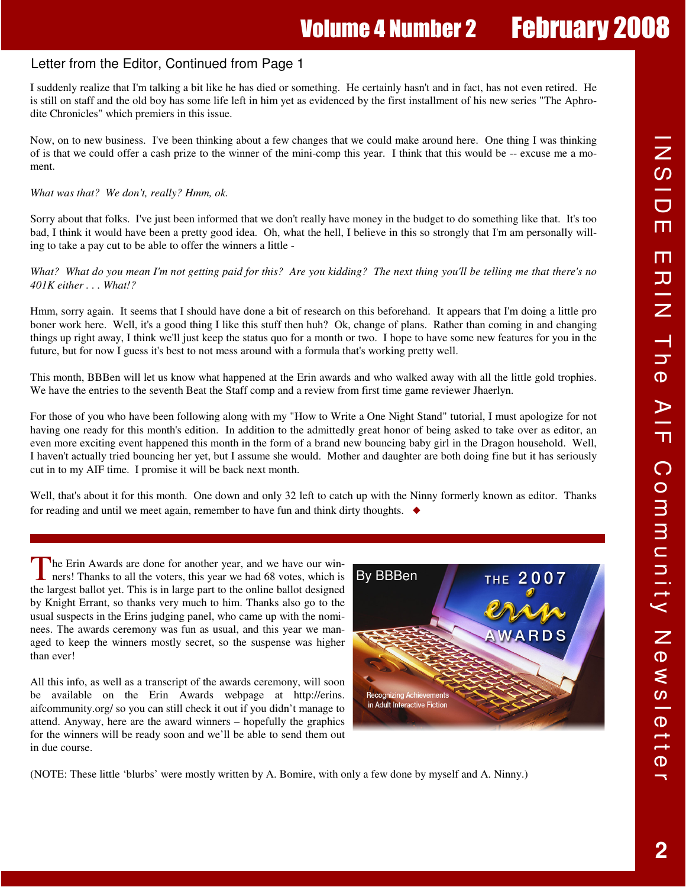# Letter from the Editor, Continued from Page 1

I suddenly realize that I'm talking a bit like he has died or something. He certainly hasn't and in fact, has not even retired. He is still on staff and the old boy has some life left in him yet as evidenced by the first installment of his new series "The Aphrodite Chronicles" which premiers in this issue.

Now, on to new business. I've been thinking about a few changes that we could make around here. One thing I was thinking of is that we could offer a cash prize to the winner of the mini-comp this year. I think that this would be -- excuse me a moment.

#### *What was that? We don't, really? Hmm, ok.*

Sorry about that folks. I've just been informed that we don't really have money in the budget to do something like that. It's too bad, I think it would have been a pretty good idea. Oh, what the hell, I believe in this so strongly that I'm am personally willing to take a pay cut to be able to offer the winners a little -

*What? What do you mean I'm not getting paid for this? Are you kidding? The next thing you'll be telling me that there's no 401K either . . . What!?*

Hmm, sorry again. It seems that I should have done a bit of research on this beforehand. It appears that I'm doing a little pro boner work here. Well, it's a good thing I like this stuff then huh? Ok, change of plans. Rather than coming in and changing things up right away, I think we'll just keep the status quo for a month or two. I hope to have some new features for you in the future, but for now I guess it's best to not mess around with a formula that's working pretty well.

This month, BBBen will let us know what happened at the Erin awards and who walked away with all the little gold trophies. We have the entries to the seventh Beat the Staff comp and a review from first time game reviewer Jhaerlyn.

For those of you who have been following along with my "How to Write a One Night Stand" tutorial, I must apologize for not having one ready for this month's edition. In addition to the admittedly great honor of being asked to take over as editor, an even more exciting event happened this month in the form of a brand new bouncing baby girl in the Dragon household. Well, I haven't actually tried bouncing her yet, but I assume she would. Mother and daughter are both doing fine but it has seriously cut in to my AIF time. I promise it will be back next month.

Well, that's about it for this month. One down and only 32 left to catch up with the Ninny formerly known as editor. Thanks for reading and until we meet again, remember to have fun and think dirty thoughts. ◆

The Erin Awards are done for another year, and we have our winners! Thanks to all the voters, this year we had 68 votes, which is the largest ballot yet. This is in large part to the online ballot designed he Erin Awards are done for another year, and we have our winners! Thanks to all the voters, this year we had 68 votes, which is by Knight Errant, so thanks very much to him. Thanks also go to the usual suspects in the Erins judging panel, who came up with the nominees. The awards ceremony was fun as usual, and this year we managed to keep the winners mostly secret, so the suspense was higher than ever!

All this info, as well as a transcript of the awards ceremony, will soon be available on the Erin Awards webpage at http://erins. aifcommunity.org/ so you can still check it out if you didn't manage to attend. Anyway, here are the award winners – hopefully the graphics for the winners will be ready soon and we'll be able to send them out in due course.



(NOTE: These little 'blurbs' were mostly written by A. Bomire, with only a few done by myself and A. Ninny.)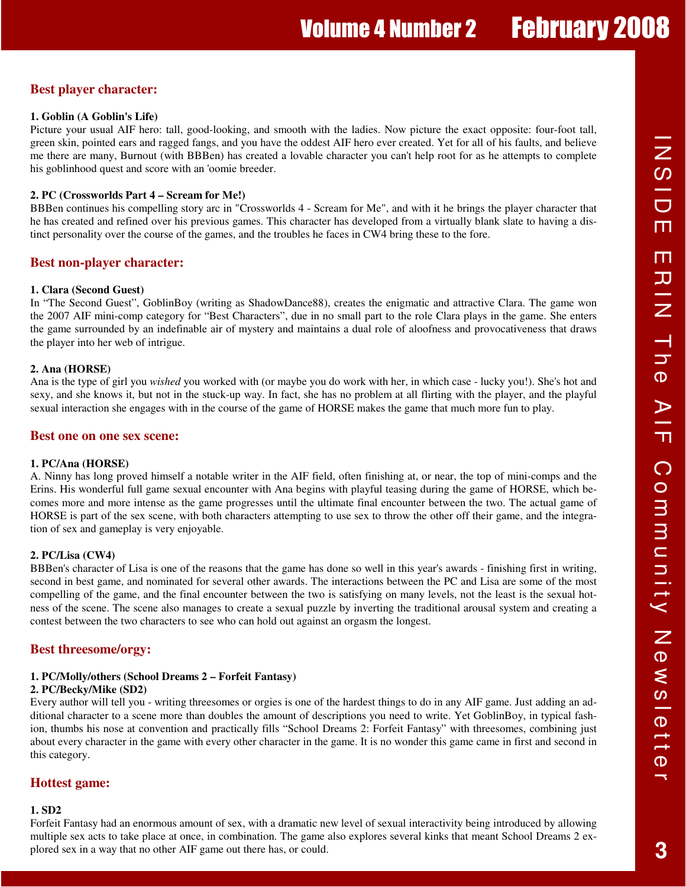# **Best player character:**

#### **1. Goblin (A Goblin's Life)**

Picture your usual AIF hero: tall, good-looking, and smooth with the ladies. Now picture the exact opposite: four-foot tall, green skin, pointed ears and ragged fangs, and you have the oddest AIF hero ever created. Yet for all of his faults, and believe me there are many, Burnout (with BBBen) has created a lovable character you can't help root for as he attempts to complete his goblinhood quest and score with an 'oomie breeder.

#### **2. PC (Crossworlds Part 4 – Scream for Me!)**

BBBen continues his compelling story arc in "Crossworlds 4 - Scream for Me", and with it he brings the player character that he has created and refined over his previous games. This character has developed from a virtually blank slate to having a distinct personality over the course of the games, and the troubles he faces in CW4 bring these to the fore.

### **Best non-player character:**

#### **1. Clara (Second Guest)**

In "The Second Guest", GoblinBoy (writing as ShadowDance88), creates the enigmatic and attractive Clara. The game won the 2007 AIF mini-comp category for "Best Characters", due in no small part to the role Clara plays in the game. She enters the game surrounded by an indefinable air of mystery and maintains a dual role of aloofness and provocativeness that draws the player into her web of intrigue.

#### **2. Ana (HORSE)**

Ana is the type of girl you *wished* you worked with (or maybe you do work with her, in which case - lucky you!). She's hot and sexy, and she knows it, but not in the stuck-up way. In fact, she has no problem at all flirting with the player, and the playful sexual interaction she engages with in the course of the game of HORSE makes the game that much more fun to play.

#### **Best one on one sex scene:**

#### **1. PC/Ana (HORSE)**

A. Ninny has long proved himself a notable writer in the AIF field, often finishing at, or near, the top of mini-comps and the Erins. His wonderful full game sexual encounter with Ana begins with playful teasing during the game of HORSE, which becomes more and more intense as the game progresses until the ultimate final encounter between the two. The actual game of HORSE is part of the sex scene, with both characters attempting to use sex to throw the other off their game, and the integration of sex and gameplay is very enjoyable.

#### **2. PC/Lisa (CW4)**

BBBen's character of Lisa is one of the reasons that the game has done so well in this year's awards - finishing first in writing, second in best game, and nominated for several other awards. The interactions between the PC and Lisa are some of the most compelling of the game, and the final encounter between the two is satisfying on many levels, not the least is the sexual hotness of the scene. The scene also manages to create a sexual puzzle by inverting the traditional arousal system and creating a contest between the two characters to see who can hold out against an orgasm the longest.

#### **Best threesome/orgy:**

# **1. PC/Molly/others (School Dreams 2 – Forfeit Fantasy)**

# **2. PC/Becky/Mike (SD2)**

Every author will tell you - writing threesomes or orgies is one of the hardest things to do in any AIF game. Just adding an additional character to a scene more than doubles the amount of descriptions you need to write. Yet GoblinBoy, in typical fashion, thumbs his nose at convention and practically fills "School Dreams 2: Forfeit Fantasy" with threesomes, combining just about every character in the game with every other character in the game. It is no wonder this game came in first and second in this category.

# **Hottest game:**

# **1. SD2**

Forfeit Fantasy had an enormous amount of sex, with a dramatic new level of sexual interactivity being introduced by allowing multiple sex acts to take place at once, in combination. The game also explores several kinks that meant School Dreams 2 explored sex in a way that no other AIF game out there has, or could.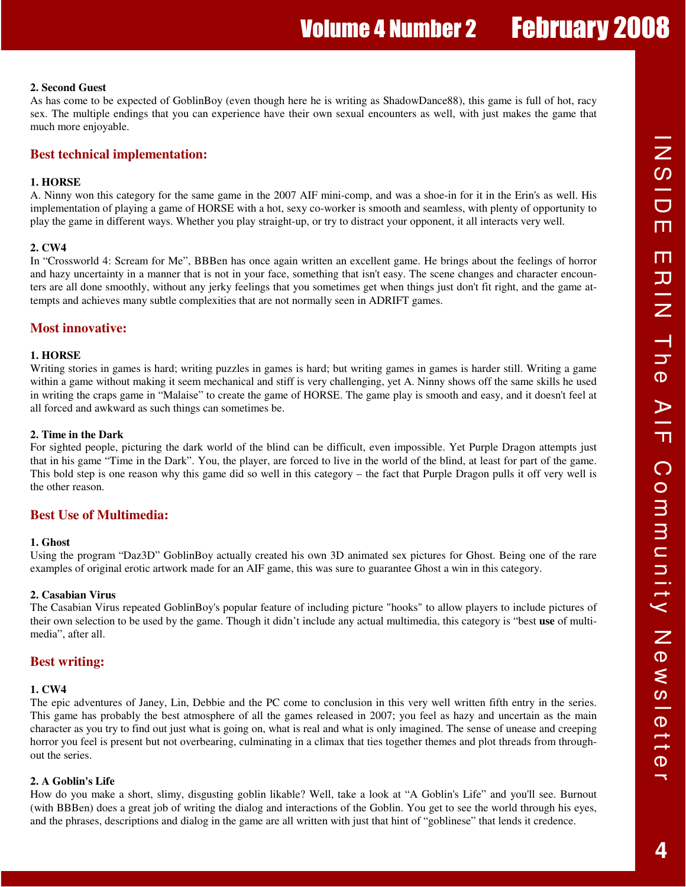#### **2. Second Guest**

As has come to be expected of GoblinBoy (even though here he is writing as ShadowDance88), this game is full of hot, racy sex. The multiple endings that you can experience have their own sexual encounters as well, with just makes the game that much more enjoyable.

# **Best technical implementation:**

#### **1. HORSE**

A. Ninny won this category for the same game in the 2007 AIF mini-comp, and was a shoe-in for it in the Erin's as well. His implementation of playing a game of HORSE with a hot, sexy co-worker is smooth and seamless, with plenty of opportunity to play the game in different ways. Whether you play straight-up, or try to distract your opponent, it all interacts very well.

#### **2. CW4**

In "Crossworld 4: Scream for Me", BBBen has once again written an excellent game. He brings about the feelings of horror and hazy uncertainty in a manner that is not in your face, something that isn't easy. The scene changes and character encounters are all done smoothly, without any jerky feelings that you sometimes get when things just don't fit right, and the game attempts and achieves many subtle complexities that are not normally seen in ADRIFT games.

# **Most innovative:**

#### **1. HORSE**

Writing stories in games is hard; writing puzzles in games is hard; but writing games in games is harder still. Writing a game within a game without making it seem mechanical and stiff is very challenging, yet A. Ninny shows off the same skills he used in writing the craps game in "Malaise" to create the game of HORSE. The game play is smooth and easy, and it doesn't feel at all forced and awkward as such things can sometimes be.

#### **2. Time in the Dark**

For sighted people, picturing the dark world of the blind can be difficult, even impossible. Yet Purple Dragon attempts just that in his game "Time in the Dark". You, the player, are forced to live in the world of the blind, at least for part of the game. This bold step is one reason why this game did so well in this category – the fact that Purple Dragon pulls it off very well is the other reason.

# **Best Use of Multimedia:**

#### **1. Ghost**

Using the program "Daz3D" GoblinBoy actually created his own 3D animated sex pictures for Ghost. Being one of the rare examples of original erotic artwork made for an AIF game, this was sure to guarantee Ghost a win in this category.

#### **2. Casabian Virus**

The Casabian Virus repeated GoblinBoy's popular feature of including picture "hooks" to allow players to include pictures of their own selection to be used by the game. Though it didn't include any actual multimedia, this category is "best **use** of multimedia", after all.

# **Best writing:**

#### **1. CW4**

The epic adventures of Janey, Lin, Debbie and the PC come to conclusion in this very well written fifth entry in the series. This game has probably the best atmosphere of all the games released in 2007; you feel as hazy and uncertain as the main character as you try to find out just what is going on, what is real and what is only imagined. The sense of unease and creeping horror you feel is present but not overbearing, culminating in a climax that ties together themes and plot threads from throughout the series.

#### **2. A Goblin's Life**

How do you make a short, slimy, disgusting goblin likable? Well, take a look at "A Goblin's Life" and you'll see. Burnout (with BBBen) does a great job of writing the dialog and interactions of the Goblin. You get to see the world through his eyes, and the phrases, descriptions and dialog in the game are all written with just that hint of "goblinese" that lends it credence.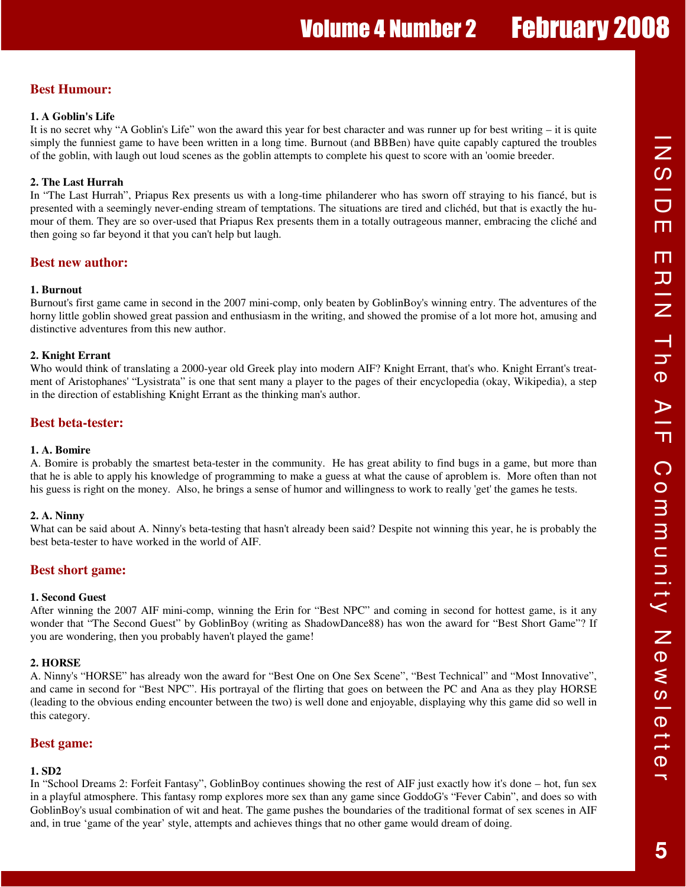# **Best Humour:**

#### **1. A Goblin's Life**

It is no secret why "A Goblin's Life" won the award this year for best character and was runner up for best writing – it is quite simply the funniest game to have been written in a long time. Burnout (and BBBen) have quite capably captured the troubles of the goblin, with laugh out loud scenes as the goblin attempts to complete his quest to score with an 'oomie breeder.

#### **2. The Last Hurrah**

In "The Last Hurrah", Priapus Rex presents us with a long-time philanderer who has sworn off straying to his fiancé, but is presented with a seemingly never-ending stream of temptations. The situations are tired and clichéd, but that is exactly the humour of them. They are so over-used that Priapus Rex presents them in a totally outrageous manner, embracing the cliché and then going so far beyond it that you can't help but laugh.

### **Best new author:**

#### **1. Burnout**

Burnout's first game came in second in the 2007 mini-comp, only beaten by GoblinBoy's winning entry. The adventures of the horny little goblin showed great passion and enthusiasm in the writing, and showed the promise of a lot more hot, amusing and distinctive adventures from this new author.

#### **2. Knight Errant**

Who would think of translating a 2000-year old Greek play into modern AIF? Knight Errant, that's who. Knight Errant's treatment of Aristophanes' "Lysistrata" is one that sent many a player to the pages of their encyclopedia (okay, Wikipedia), a step in the direction of establishing Knight Errant as the thinking man's author.

### **Best beta-tester:**

#### **1. A. Bomire**

A. Bomire is probably the smartest beta-tester in the community. He has great ability to find bugs in a game, but more than that he is able to apply his knowledge of programming to make a guess at what the cause of aproblem is. More often than not his guess is right on the money. Also, he brings a sense of humor and willingness to work to really 'get' the games he tests.

#### **2. A. Ninny**

What can be said about A. Ninny's beta-testing that hasn't already been said? Despite not winning this year, he is probably the best beta-tester to have worked in the world of AIF.

# **Best short game:**

#### **1. Second Guest**

After winning the 2007 AIF mini-comp, winning the Erin for "Best NPC" and coming in second for hottest game, is it any wonder that "The Second Guest" by GoblinBoy (writing as ShadowDance88) has won the award for "Best Short Game"? If you are wondering, then you probably haven't played the game!

#### **2. HORSE**

A. Ninny's "HORSE" has already won the award for "Best One on One Sex Scene", "Best Technical" and "Most Innovative", and came in second for "Best NPC". His portrayal of the flirting that goes on between the PC and Ana as they play HORSE (leading to the obvious ending encounter between the two) is well done and enjoyable, displaying why this game did so well in this category.

#### **Best game:**

#### **1. SD2**

In "School Dreams 2: Forfeit Fantasy", GoblinBoy continues showing the rest of AIF just exactly how it's done – hot, fun sex in a playful atmosphere. This fantasy romp explores more sex than any game since GoddoG's "Fever Cabin", and does so with GoblinBoy's usual combination of wit and heat. The game pushes the boundaries of the traditional format of sex scenes in AIF and, in true 'game of the year' style, attempts and achieves things that no other game would dream of doing.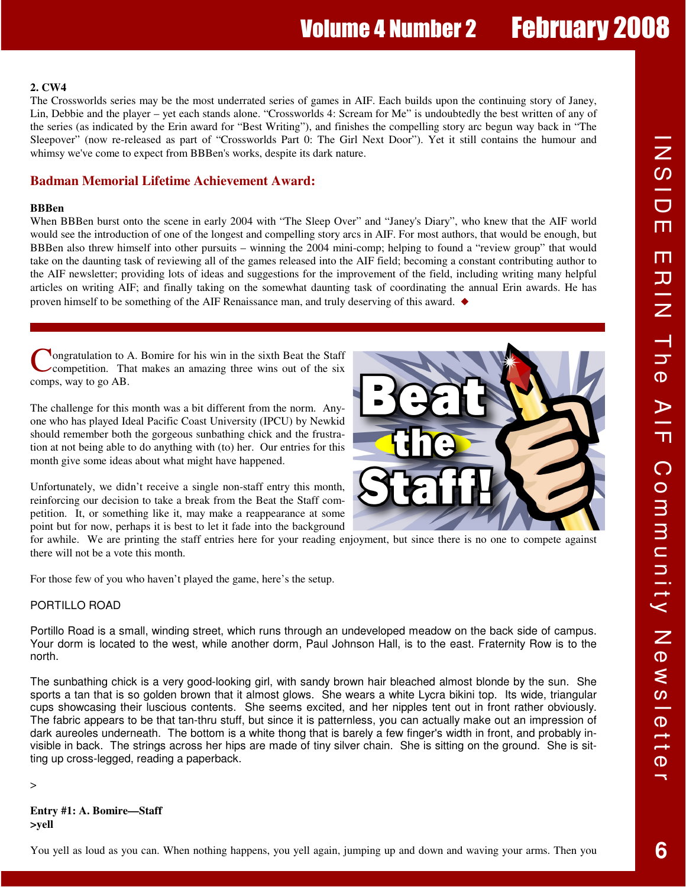#### **2. CW4**

The Crossworlds series may be the most underrated series of games in AIF. Each builds upon the continuing story of Janey, Lin, Debbie and the player – yet each stands alone. "Crossworlds 4: Scream for Me" is undoubtedly the best written of any of the series (as indicated by the Erin award for "Best Writing"), and finishes the compelling story arc begun way back in "The Sleepover" (now re-released as part of "Crossworlds Part 0: The Girl Next Door"). Yet it still contains the humour and whimsy we've come to expect from BBBen's works, despite its dark nature.

### **Badman Memorial Lifetime Achievement Award:**

#### **BBBen**

When BBBen burst onto the scene in early 2004 with "The Sleep Over" and "Janey's Diary", who knew that the AIF world would see the introduction of one of the longest and compelling story arcs in AIF. For most authors, that would be enough, but BBBen also threw himself into other pursuits – winning the 2004 mini-comp; helping to found a "review group" that would take on the daunting task of reviewing all of the games released into the AIF field; becoming a constant contributing author to the AIF newsletter; providing lots of ideas and suggestions for the improvement of the field, including writing many helpful articles on writing AIF; and finally taking on the somewhat daunting task of coordinating the annual Erin awards. He has proven himself to be something of the AIF Renaissance man, and truly deserving of this award. ◆

Congratulation to A competition. The comps, way to go AB. ongratulation to A. Bomire for his win in the sixth Beat the Staff competition. That makes an amazing three wins out of the six

The challenge for this month was a bit different from the norm. Anyone who has played Ideal Pacific Coast University (IPCU) by Newkid should remember both the gorgeous sunbathing chick and the frustration at not being able to do anything with (to) her. Our entries for this month give some ideas about what might have happened.

Unfortunately, we didn't receive a single non-staff entry this month, reinforcing our decision to take a break from the Beat the Staff competition. It, or something like it, may make a reappearance at some point but for now, perhaps it is best to let it fade into the background

for awhile. We are printing the staff entries here for your reading enjoyment, but since there is no one to compete against there will not be a vote this month.

For those few of you who haven't played the game, here's the setup.

#### PORTILLO ROAD

Portillo Road is a small, winding street, which runs through an undeveloped meadow on the back side of campus. Your dorm is located to the west, while another dorm, Paul Johnson Hall, is to the east. Fraternity Row is to the north.

The sunbathing chick is a very good-looking girl, with sandy brown hair bleached almost blonde by the sun. She sports a tan that is so golden brown that it almost glows. She wears a white Lycra bikini top. Its wide, triangular cups showcasing their luscious contents. She seems excited, and her nipples tent out in front rather obviously. The fabric appears to be that tan-thru stuff, but since it is patternless, you can actually make out an impression of dark aureoles underneath. The bottom is a white thong that is barely a few finger's width in front, and probably invisible in back. The strings across her hips are made of tiny silver chain. She is sitting on the ground. She is sitting up cross-legged, reading a paperback.

>

**Entry #1: A. Bomire—Staff >yell**



<u>In the Common Section</u>  $\overline{Z}$ **OC** <u>In the Common State State State State State State State State State State State State State State State State State State State State State State State State State State State State State State State State State State Sta</u>  $\overline{\mathbf{U}}$ 

line and the control of  $\overline{\mathbf{C}}$  $\frac{1}{1}$ 

 $\boldsymbol{\sigma}$  $\overline{\phantom{a}}$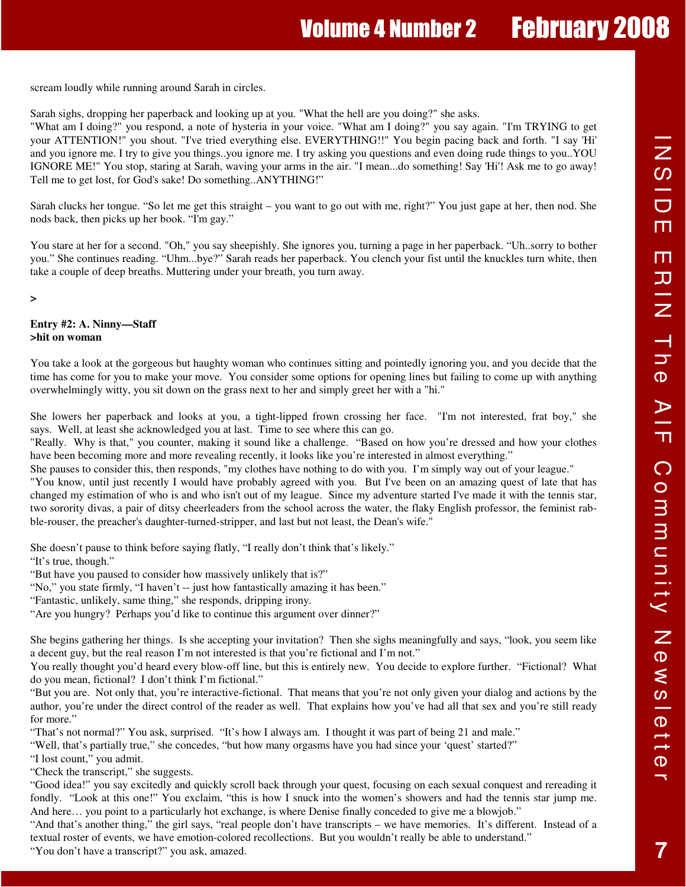scream loudly while running around Sarah in circles.

Sarah sighs, dropping her paperback and looking up at you. "What the hell are you doing?" she asks.

"What am I doing?" you respond, a note of hysteria in your voice. "What am I doing?" you say again. "I'm TRYING to get your ATTENTION!" you shout. "I've tried everything else. EVERYTHING!!" You begin pacing back and forth. "I say 'Hi' and you ignore me. I try to give you things..you ignore me. I try asking you questions and even doing rude things to you..YOU IGNORE ME!" You stop, staring at Sarah, waving your arms in the air. "I mean...do something! Say 'Hi'! Ask me to go away! Tell me to get lost, for God's sake! Do something..ANYTHING!"

Sarah clucks her tongue. "So let me get this straight – you want to go out with me, right?" You just gape at her, then nod. She nods back, then picks up her book. "I'm gay."

You stare at her for a second. "Oh," you say sheepishly. She ignores you, turning a page in her paperback. "Uh..sorry to bother you." She continues reading. "Uhm...bye?" Sarah reads her paperback. You clench your fist until the knuckles turn white, then take a couple of deep breaths. Muttering under your breath, you turn away.

**>**

#### **Entry #2: A. Ninny—Staff >hit on woman**

You take a look at the gorgeous but haughty woman who continues sitting and pointedly ignoring you, and you decide that the time has come for you to make your move. You consider some options for opening lines but failing to come up with anything overwhelmingly witty, you sit down on the grass next to her and simply greet her with a "hi."

She lowers her paperback and looks at you, a tight-lipped frown crossing her face. "I'm not interested, frat boy," she says. Well, at least she acknowledged you at last. Time to see where this can go.

"Really. Why is that," you counter, making it sound like a challenge. "Based on how you're dressed and how your clothes have been becoming more and more revealing recently, it looks like you're interested in almost everything."

She pauses to consider this, then responds, "my clothes have nothing to do with you. I'm simply way out of your league."

"You know, until just recently I would have probably agreed with you. But I've been on an amazing quest of late that has changed my estimation of who is and who isn't out of my league. Since my adventure started I've made it with the tennis star, two sorority divas, a pair of ditsy cheerleaders from the school across the water, the flaky English professor, the feminist rabble-rouser, the preacher's daughter-turned-stripper, and last but not least, the Dean's wife."

She doesn't pause to think before saying flatly, "I really don't think that's likely."

"It's true, though."

"But have you paused to consider how massively unlikely that is?"

"No," you state firmly, "I haven't -- just how fantastically amazing it has been."

"Fantastic, unlikely, same thing," she responds, dripping irony.

"Are you hungry? Perhaps you'd like to continue this argument over dinner?"

She begins gathering her things. Is she accepting your invitation? Then she sighs meaningfully and says, "look, you seem like a decent guy, but the real reason I'm not interested is that you're fictional and I'm not."

You really thought you'd heard every blow-off line, but this is entirely new. You decide to explore further. "Fictional? What do you mean, fictional? I don't think I'm fictional."

"But you are. Not only that, you're interactive-fictional. That means that you're not only given your dialog and actions by the author, you're under the direct control of the reader as well. That explains how you've had all that sex and you're still ready for more."

"That's not normal?" You ask, surprised. "It's how I always am. I thought it was part of being 21 and male."

"Well, that's partially true," she concedes, "but how many orgasms have you had since your 'quest' started?"

"I lost count," you admit.

"Check the transcript," she suggests.

"Good idea!" you say excitedly and quickly scroll back through your quest, focusing on each sexual conquest and rereading it fondly. "Look at this one!" You exclaim, "this is how I snuck into the women's showers and had the tennis star jump me. And here… you point to a particularly hot exchange, is where Denise finally conceded to give me a blowjob."

"And that's another thing," the girl says, "real people don't have transcripts – we have memories. It's different. Instead of a textual roster of events, we have emotion-colored recollections. But you wouldn't really be able to understand." "You don't have a transcript?" you ask, amazed.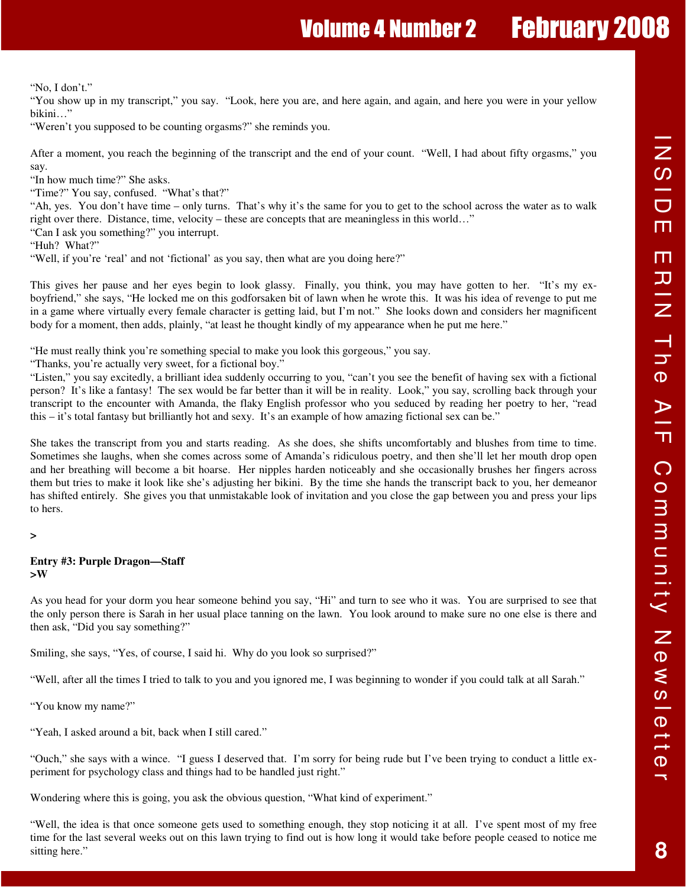"No, I don't."

"You show up in my transcript," you say. "Look, here you are, and here again, and again, and here you were in your yellow bikini…"

"Weren't you supposed to be counting orgasms?" she reminds you.

After a moment, you reach the beginning of the transcript and the end of your count. "Well, I had about fifty orgasms," you say.

"In how much time?" She asks.

"Time?" You say, confused. "What's that?"

"Ah, yes. You don't have time – only turns. That's why it's the same for you to get to the school across the water as to walk right over there. Distance, time, velocity – these are concepts that are meaningless in this world…"

"Can I ask you something?" you interrupt.

"Huh? What?"

"Well, if you're 'real' and not 'fictional' as you say, then what are you doing here?"

This gives her pause and her eyes begin to look glassy. Finally, you think, you may have gotten to her. "It's my exboyfriend," she says, "He locked me on this godforsaken bit of lawn when he wrote this. It was his idea of revenge to put me in a game where virtually every female character is getting laid, but I'm not." She looks down and considers her magnificent body for a moment, then adds, plainly, "at least he thought kindly of my appearance when he put me here."

"He must really think you're something special to make you look this gorgeous," you say.

"Thanks, you're actually very sweet, for a fictional boy."

"Listen," you say excitedly, a brilliant idea suddenly occurring to you, "can't you see the benefit of having sex with a fictional person? It's like a fantasy! The sex would be far better than it will be in reality. Look," you say, scrolling back through your transcript to the encounter with Amanda, the flaky English professor who you seduced by reading her poetry to her, "read this – it's total fantasy but brilliantly hot and sexy. It's an example of how amazing fictional sex can be."

She takes the transcript from you and starts reading. As she does, she shifts uncomfortably and blushes from time to time. Sometimes she laughs, when she comes across some of Amanda's ridiculous poetry, and then she'll let her mouth drop open and her breathing will become a bit hoarse. Her nipples harden noticeably and she occasionally brushes her fingers across them but tries to make it look like she's adjusting her bikini. By the time she hands the transcript back to you, her demeanor has shifted entirely. She gives you that unmistakable look of invitation and you close the gap between you and press your lips to hers.

**>**

#### **Entry #3: Purple Dragon—Staff >W**

As you head for your dorm you hear someone behind you say, "Hi" and turn to see who it was. You are surprised to see that the only person there is Sarah in her usual place tanning on the lawn. You look around to make sure no one else is there and then ask, "Did you say something?"

Smiling, she says, "Yes, of course, I said hi. Why do you look so surprised?"

"Well, after all the times I tried to talk to you and you ignored me, I was beginning to wonder if you could talk at all Sarah."

"You know my name?"

"Yeah, I asked around a bit, back when I still cared."

"Ouch," she says with a wince. "I guess I deserved that. I'm sorry for being rude but I've been trying to conduct a little experiment for psychology class and things had to be handled just right."

Wondering where this is going, you ask the obvious question, "What kind of experiment."

"Well, the idea is that once someone gets used to something enough, they stop noticing it at all. I've spent most of my free time for the last several weeks out on this lawn trying to find out is how long it would take before people ceased to notice me sitting here."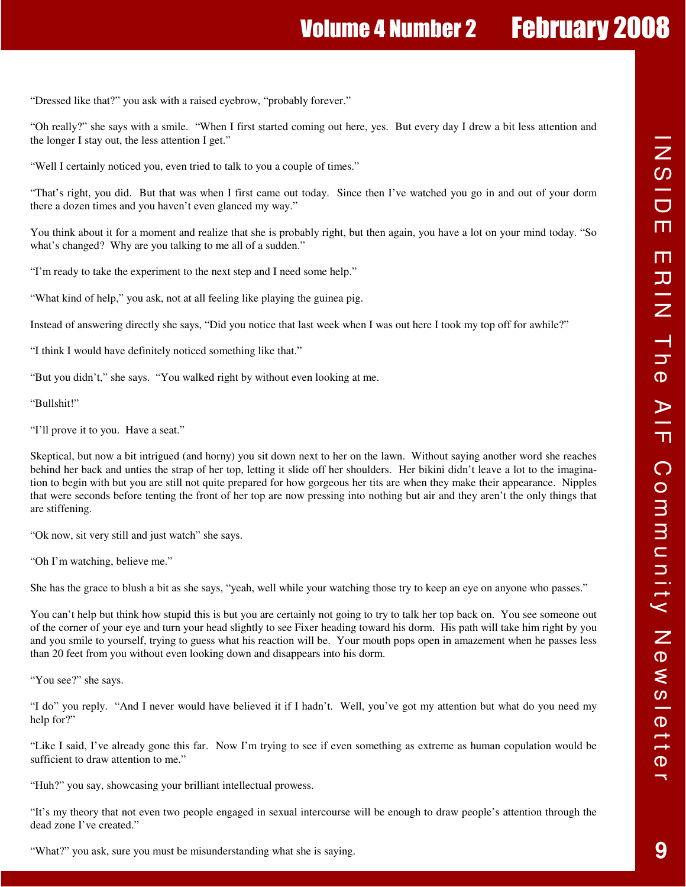"Dressed like that?" you ask with a raised eyebrow, "probably forever."

"Oh really?" she says with a smile. "When I first started coming out here, yes. But every day I drew a bit less attention and the longer I stay out, the less attention I get."

"Well I certainly noticed you, even tried to talk to you a couple of times."

"That's right, you did. But that was when I first came out today. Since then I've watched you go in and out of your dorm there a dozen times and you haven't even glanced my way."

You think about it for a moment and realize that she is probably right, but then again, you have a lot on your mind today. "So what's changed? Why are you talking to me all of a sudden."

"I'm ready to take the experiment to the next step and I need some help."

"What kind of help," you ask, not at all feeling like playing the guinea pig.

Instead of answering directly she says, "Did you notice that last week when I was out here I took my top off for awhile?"

"I think I would have definitely noticed something like that."

"But you didn't," she says. "You walked right by without even looking at me.

"Bullshit!"

"I'll prove it to you. Have a seat."

Skeptical, but now a bit intrigued (and horny) you sit down next to her on the lawn. Without saying another word she reaches behind her back and unties the strap of her top, letting it slide off her shoulders. Her bikini didn't leave a lot to the imagination to begin with but you are still not quite prepared for how gorgeous her tits are when they make their appearance. Nipples that were seconds before tenting the front of her top are now pressing into nothing but air and they aren't the only things that are stiffening.

"Ok now, sit very still and just watch" she says.

"Oh I'm watching, believe me."

She has the grace to blush a bit as she says, "yeah, well while your watching those try to keep an eye on anyone who passes."

You can't help but think how stupid this is but you are certainly not going to try to talk her top back on. You see someone out of the corner of your eye and turn your head slightly to see Fixer heading toward his dorm. His path will take him right by you and you smile to yourself, trying to guess what his reaction will be. Your mouth pops open in amazement when he passes less than 20 feet from you without even looking down and disappears into his dorm.

"You see?" she says.

"I do" you reply. "And I never would have believed it if I hadn't. Well, you've got my attention but what do you need my help for?"

"Like I said, I've already gone this far. Now I'm trying to see if even something as extreme as human copulation would be sufficient to draw attention to me."

"Huh?" you say, showcasing your brilliant intellectual prowess.

"It's my theory that not even two people engaged in sexual intercourse will be enough to draw people's attention through the dead zone I've created."

"What?" you ask, sure you must be misunderstanding what she is saying.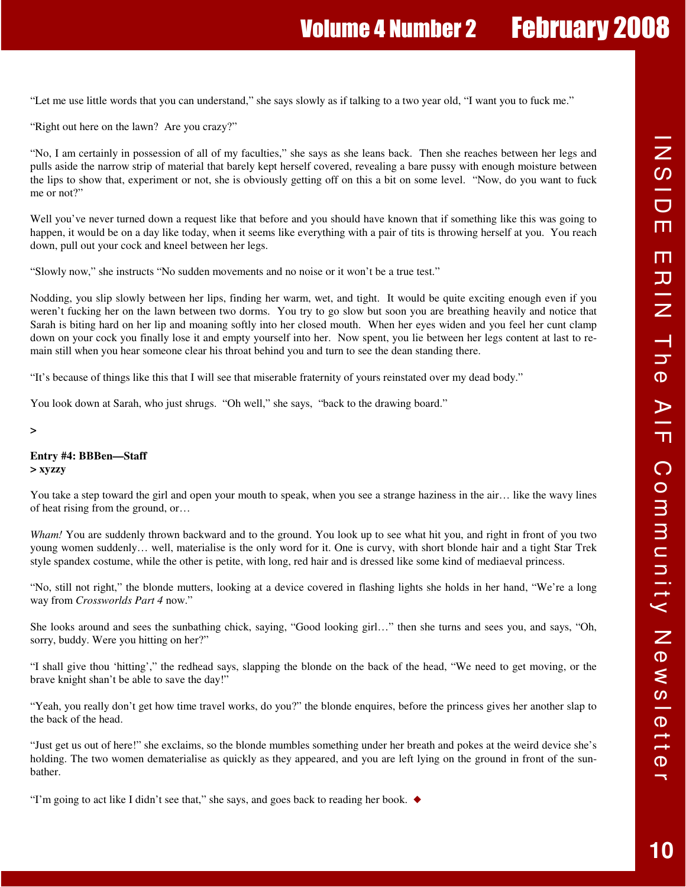"Let me use little words that you can understand," she says slowly as if talking to a two year old, "I want you to fuck me."

"Right out here on the lawn? Are you crazy?"

"No, I am certainly in possession of all of my faculties," she says as she leans back. Then she reaches between her legs and pulls aside the narrow strip of material that barely kept herself covered, revealing a bare pussy with enough moisture between the lips to show that, experiment or not, she is obviously getting off on this a bit on some level. "Now, do you want to fuck me or not?"

Well you've never turned down a request like that before and you should have known that if something like this was going to happen, it would be on a day like today, when it seems like everything with a pair of tits is throwing herself at you. You reach down, pull out your cock and kneel between her legs.

"Slowly now," she instructs "No sudden movements and no noise or it won't be a true test."

Nodding, you slip slowly between her lips, finding her warm, wet, and tight. It would be quite exciting enough even if you weren't fucking her on the lawn between two dorms. You try to go slow but soon you are breathing heavily and notice that Sarah is biting hard on her lip and moaning softly into her closed mouth. When her eyes widen and you feel her cunt clamp down on your cock you finally lose it and empty yourself into her. Now spent, you lie between her legs content at last to remain still when you hear someone clear his throat behind you and turn to see the dean standing there.

"It's because of things like this that I will see that miserable fraternity of yours reinstated over my dead body."

You look down at Sarah, who just shrugs. "Oh well," she says, "back to the drawing board."

**>**

# **Entry #4: BBBen—Staff**

#### **> xyzzy**

You take a step toward the girl and open your mouth to speak, when you see a strange haziness in the air… like the wavy lines of heat rising from the ground, or…

*Wham!* You are suddenly thrown backward and to the ground. You look up to see what hit you, and right in front of you two young women suddenly… well, materialise is the only word for it. One is curvy, with short blonde hair and a tight Star Trek style spandex costume, while the other is petite, with long, red hair and is dressed like some kind of mediaeval princess.

"No, still not right," the blonde mutters, looking at a device covered in flashing lights she holds in her hand, "We're a long way from *Crossworlds Part 4* now."

She looks around and sees the sunbathing chick, saying, "Good looking girl…" then she turns and sees you, and says, "Oh, sorry, buddy. Were you hitting on her?"

"I shall give thou 'hitting'," the redhead says, slapping the blonde on the back of the head, "We need to get moving, or the brave knight shan't be able to save the day!"

"Yeah, you really don't get how time travel works, do you?" the blonde enquires, before the princess gives her another slap to the back of the head.

"Just get us out of here!" she exclaims, so the blonde mumbles something under her breath and pokes at the weird device she's holding. The two women dematerialise as quickly as they appeared, and you are left lying on the ground in front of the sunbather.

"I'm going to act like I didn't see that," she says, and goes back to reading her book. ◆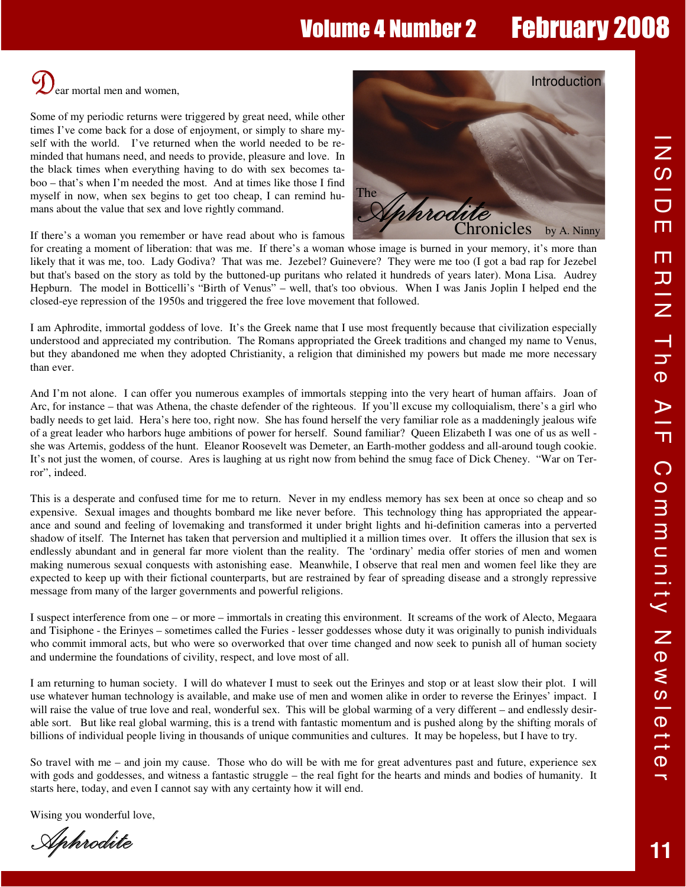# Volume 4 Number 2 February 2008

# 'ear mortal men and women,

Some of my periodic returns were triggered by great need, while other times I've come back for a dose of enjoyment, or simply to share myself with the world. I've returned when the world needed to be reminded that humans need, and needs to provide, pleasure and love. In the black times when everything having to do with sex becomes taboo – that's when I'm needed the most. And at times like those I find myself in now, when sex begins to get too cheap, I can remind humans about the value that sex and love rightly command.

If there's a woman you remember or have read about who is famous

for creating a moment of liberation: that was me. If there's a woman whose image is burned in your memory, it's more than likely that it was me, too. Lady Godiva? That was me. Jezebel? Guinevere? They were me too (I got a bad rap for Jezebel but that's based on the story as told by the buttoned-up puritans who related it hundreds of years later). Mona Lisa. Audrey Hepburn. The model in Botticelli's "Birth of Venus" – well, that's too obvious. When I was Janis Joplin I helped end the closed-eye repression of the 1950s and triggered the free love movement that followed.

I am Aphrodite, immortal goddess of love. It's the Greek name that I use most frequently because that civilization especially understood and appreciated my contribution. The Romans appropriated the Greek traditions and changed my name to Venus, but they abandoned me when they adopted Christianity, a religion that diminished my powers but made me more necessary than ever.

And I'm not alone. I can offer you numerous examples of immortals stepping into the very heart of human affairs. Joan of Arc, for instance – that was Athena, the chaste defender of the righteous. If you'll excuse my colloquialism, there's a girl who badly needs to get laid. Hera's here too, right now. She has found herself the very familiar role as a maddeningly jealous wife of a great leader who harbors huge ambitions of power for herself. Sound familiar? Queen Elizabeth I was one of us as well she was Artemis, goddess of the hunt. Eleanor Roosevelt was Demeter, an Earth-mother goddess and all-around tough cookie. It's not just the women, of course. Ares is laughing at us right now from behind the smug face of Dick Cheney. "War on Terror", indeed.

This is a desperate and confused time for me to return. Never in my endless memory has sex been at once so cheap and so expensive. Sexual images and thoughts bombard me like never before. This technology thing has appropriated the appearance and sound and feeling of lovemaking and transformed it under bright lights and hi-definition cameras into a perverted shadow of itself. The Internet has taken that perversion and multiplied it a million times over. It offers the illusion that sex is endlessly abundant and in general far more violent than the reality. The 'ordinary' media offer stories of men and women making numerous sexual conquests with astonishing ease. Meanwhile, I observe that real men and women feel like they are expected to keep up with their fictional counterparts, but are restrained by fear of spreading disease and a strongly repressive message from many of the larger governments and powerful religions.

I suspect interference from one – or more – immortals in creating this environment. It screams of the work of Alecto, Megaara and Tisiphone - the Erinyes – sometimes called the Furies - lesser goddesses whose duty it was originally to punish individuals who commit immoral acts, but who were so overworked that over time changed and now seek to punish all of human society and undermine the foundations of civility, respect, and love most of all.

I am returning to human society. I will do whatever I must to seek out the Erinyes and stop or at least slow their plot. I will use whatever human technology is available, and make use of men and women alike in order to reverse the Erinyes' impact. I will raise the value of true love and real, wonderful sex. This will be global warming of a very different – and endlessly desirable sort. But like real global warming, this is a trend with fantastic momentum and is pushed along by the shifting morals of billions of individual people living in thousands of unique communities and cultures. It may be hopeless, but I have to try.

So travel with me – and join my cause. Those who do will be with me for great adventures past and future, experience sex with gods and goddesses, and witness a fantastic struggle – the real fight for the hearts and minds and bodies of humanity. It starts here, today, and even I cannot say with any certainty how it will end.

Wising you wonderful love,

Syrhrodite



**11**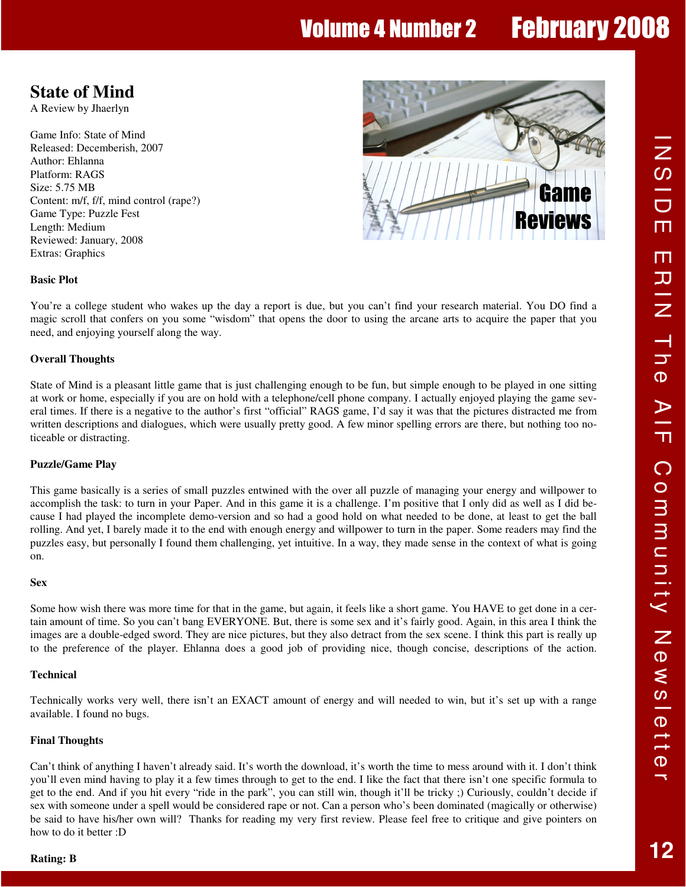# **State of Mind**

A Review by Jhaerlyn

Game Info: State of Mind Released: Decemberish, 2007 Author: Ehlanna Platform: RAGS Size: 5.75 MB Content: m/f, f/f, mind control (rape?) Game Type: Puzzle Fest Length: Medium Reviewed: January, 2008 Extras: Graphics



#### **Basic Plot**

You're a college student who wakes up the day a report is due, but you can't find your research material. You DO find a magic scroll that confers on you some "wisdom" that opens the door to using the arcane arts to acquire the paper that you need, and enjoying yourself along the way.

#### **Overall Thoughts**

State of Mind is a pleasant little game that is just challenging enough to be fun, but simple enough to be played in one sitting at work or home, especially if you are on hold with a telephone/cell phone company. I actually enjoyed playing the game several times. If there is a negative to the author's first "official" RAGS game, I'd say it was that the pictures distracted me from written descriptions and dialogues, which were usually pretty good. A few minor spelling errors are there, but nothing too noticeable or distracting.

#### **Puzzle/Game Play**

This game basically is a series of small puzzles entwined with the over all puzzle of managing your energy and willpower to accomplish the task: to turn in your Paper. And in this game it is a challenge. I'm positive that I only did as well as I did because I had played the incomplete demo-version and so had a good hold on what needed to be done, at least to get the ball rolling. And yet, I barely made it to the end with enough energy and willpower to turn in the paper. Some readers may find the puzzles easy, but personally I found them challenging, yet intuitive. In a way, they made sense in the context of what is going on.

#### **Sex**

Some how wish there was more time for that in the game, but again, it feels like a short game. You HAVE to get done in a certain amount of time. So you can't bang EVERYONE. But, there is some sex and it's fairly good. Again, in this area I think the images are a double-edged sword. They are nice pictures, but they also detract from the sex scene. I think this part is really up to the preference of the player. Ehlanna does a good job of providing nice, though concise, descriptions of the action.

#### **Technical**

Technically works very well, there isn't an EXACT amount of energy and will needed to win, but it's set up with a range available. I found no bugs.

#### **Final Thoughts**

Can't think of anything I haven't already said. It's worth the download, it's worth the time to mess around with it. I don't think you'll even mind having to play it a few times through to get to the end. I like the fact that there isn't one specific formula to get to the end. And if you hit every "ride in the park", you can still win, though it'll be tricky ;) Curiously, couldn't decide if sex with someone under a spell would be considered rape or not. Can a person who's been dominated (magically or otherwise) be said to have his/her own will? Thanks for reading my very first review. Please feel free to critique and give pointers on how to do it better :D

<u>In the Common Section</u> Z (၇ <u>In the Common State State State State State State State State State State State State State State State State State State State State State State State State State State State State State State State State State State Sta</u>  $\overline{\mathbf{J}}$ 

m<br>m

 $\overline{\mathbf{U}}$ <u>In the Common State State State State State State State State State State State State State State State State State State State State State State State State State State State State State State State State State State Sta</u>